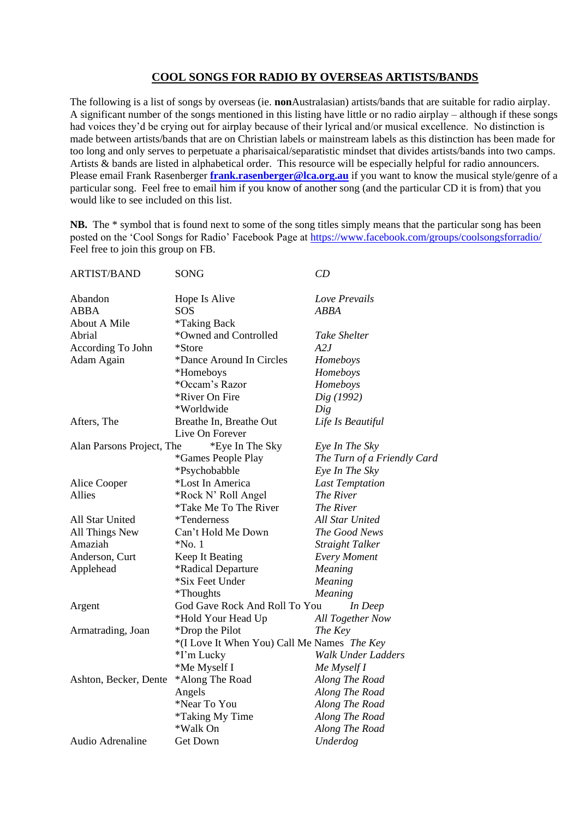## **COOL SONGS FOR RADIO BY OVERSEAS ARTISTS/BANDS**

The following is a list of songs by overseas (ie. **non**Australasian) artists/bands that are suitable for radio airplay. A significant number of the songs mentioned in this listing have little or no radio airplay – although if these songs had voices they'd be crying out for airplay because of their lyrical and/or musical excellence. No distinction is made between artists/bands that are on Christian labels or mainstream labels as this distinction has been made for too long and only serves to perpetuate a pharisaical/separatistic mindset that divides artists/bands into two camps. Artists & bands are listed in alphabetical order. This resource will be especially helpful for radio announcers. Please email Frank Rasenberger **[frank.rasenberger@lca.org.au](mailto:frank.rasenberger@lca.org.au)** if you want to know the musical style/genre of a particular song. Feel free to email him if you know of another song (and the particular CD it is from) that you would like to see included on this list.

**NB.** The \* symbol that is found next to some of the song titles simply means that the particular song has been posted on the 'Cool Songs for Radio' Facebook Page at<https://www.facebook.com/groups/coolsongsforradio/> Feel free to join this group on FB.

| <b>ARTIST/BAND</b>        | SONG                                        | CD                          |
|---------------------------|---------------------------------------------|-----------------------------|
| Abandon                   | Hope Is Alive                               | Love Prevails               |
| <b>ABBA</b>               | SOS                                         | <b>ABBA</b>                 |
| <b>About A Mile</b>       | *Taking Back                                |                             |
| Abrial                    | *Owned and Controlled                       | <b>Take Shelter</b>         |
| According To John         | *Store                                      | A2J                         |
| Adam Again                | *Dance Around In Circles                    | Homeboys                    |
|                           | *Homeboys                                   | Homeboys                    |
|                           | *Occam's Razor                              | Homeboys                    |
|                           | *River On Fire                              | Dig (1992)                  |
|                           | *Worldwide                                  | Dig                         |
| Afters, The               | Breathe In, Breathe Out                     | Life Is Beautiful           |
|                           | Live On Forever                             |                             |
| Alan Parsons Project, The | *Eye In The Sky                             | Eye In The Sky              |
|                           | <i>*</i> Games People Play                  | The Turn of a Friendly Card |
|                           | *Psychobabble                               | Eye In The Sky              |
| Alice Cooper              | *Lost In America                            | <b>Last Temptation</b>      |
| <b>Allies</b>             | *Rock N' Roll Angel                         | The River                   |
|                           | <i>*Take Me To The River</i>                | The River                   |
| All Star United           | <i>*</i> Tenderness                         | <b>All Star United</b>      |
| All Things New            | Can't Hold Me Down                          | The Good News               |
| Amaziah                   | $*No.1$                                     | Straight Talker             |
| Anderson, Curt            | Keep It Beating                             | <b>Every Moment</b>         |
| Applehead                 | *Radical Departure                          | Meaning                     |
|                           | *Six Feet Under                             | Meaning                     |
|                           | <i>*</i> Thoughts                           | Meaning                     |
| Argent                    | God Gave Rock And Roll To You               | In Deep                     |
|                           | *Hold Your Head Up                          | All Together Now            |
| Armatrading, Joan         | *Drop the Pilot                             | The Key                     |
|                           | *(I Love It When You) Call Me Names The Key |                             |
|                           | *I'm Lucky                                  | <b>Walk Under Ladders</b>   |
|                           | *Me Myself I                                | Me Myself I                 |
| Ashton, Becker, Dente     | *Along The Road                             | Along The Road              |
|                           | Angels                                      | Along The Road              |
|                           | *Near To You                                | Along The Road              |
|                           | <i>*Taking My Time</i>                      | Along The Road              |
|                           | *Walk On                                    | Along The Road              |
| Audio Adrenaline          | <b>Get Down</b>                             | Underdog                    |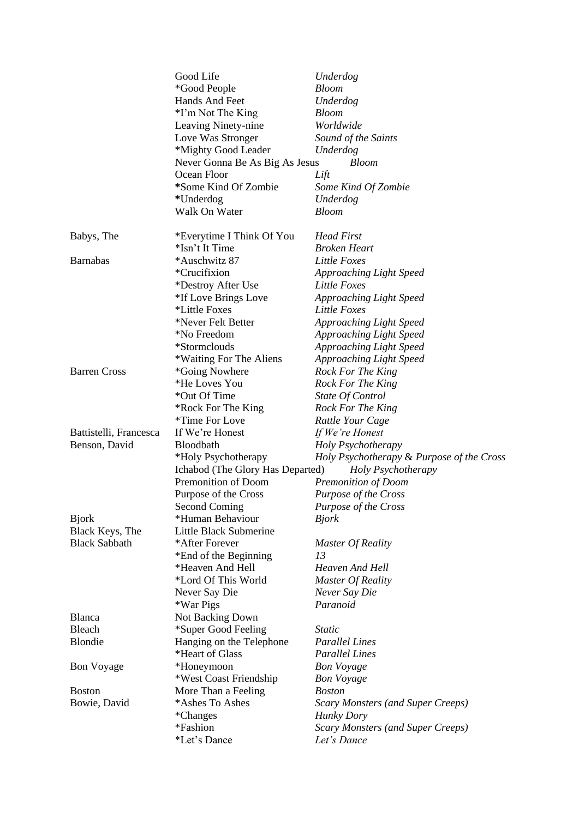|                        | Good Life                        | Underdog                                  |
|------------------------|----------------------------------|-------------------------------------------|
|                        | *Good People                     | <b>Bloom</b>                              |
|                        | Hands And Feet                   | Underdog                                  |
|                        | *I'm Not The King                | <b>Bloom</b>                              |
|                        | Leaving Ninety-nine              | Worldwide                                 |
|                        | Love Was Stronger                | Sound of the Saints                       |
|                        | *Mighty Good Leader              | Underdog                                  |
|                        | Never Gonna Be As Big As Jesus   | <b>Bloom</b>                              |
|                        | Ocean Floor                      | Lift                                      |
|                        | *Some Kind Of Zombie             | Some Kind Of Zombie                       |
|                        | *Underdog                        | Underdog                                  |
|                        | Walk On Water                    | <b>Bloom</b>                              |
| Babys, The             | *Everytime I Think Of You        | <b>Head First</b>                         |
|                        | *Isn't It Time                   | <b>Broken Heart</b>                       |
| <b>Barnabas</b>        | *Auschwitz 87                    | Little Foxes                              |
|                        | *Crucifixion                     | Approaching Light Speed                   |
|                        | *Destroy After Use               | Little Foxes                              |
|                        | *If Love Brings Love             | <b>Approaching Light Speed</b>            |
|                        | *Little Foxes                    | Little Foxes                              |
|                        | *Never Felt Better               | <b>Approaching Light Speed</b>            |
|                        | *No Freedom                      | <b>Approaching Light Speed</b>            |
|                        | *Stormclouds                     | <b>Approaching Light Speed</b>            |
|                        | *Waiting For The Aliens          | <b>Approaching Light Speed</b>            |
| <b>Barren Cross</b>    | *Going Nowhere                   | Rock For The King                         |
|                        | *He Loves You                    |                                           |
|                        |                                  | Rock For The King                         |
|                        | *Out Of Time                     | State Of Control                          |
|                        | *Rock For The King               | Rock For The King                         |
|                        | *Time For Love                   | Rattle Your Cage                          |
| Battistelli, Francesca | If We're Honest                  | If We're Honest                           |
| Benson, David          | Bloodbath                        | Holy Psychotherapy                        |
|                        | *Holy Psychotherapy              | Holy Psychotherapy & Purpose of the Cross |
|                        | Ichabod (The Glory Has Departed) | Holy Psychotherapy                        |
|                        | Premonition of Doom              | Premonition of Doom                       |
|                        | Purpose of the Cross             | Purpose of the Cross                      |
|                        | <b>Second Coming</b>             | Purpose of the Cross                      |
| <b>B</b> jork          | *Human Behaviour                 | <b>Bjork</b>                              |
| Black Keys, The        | Little Black Submerine           |                                           |
| <b>Black Sabbath</b>   | *After Forever                   | Master Of Reality                         |
|                        | *End of the Beginning            | 13                                        |
|                        | *Heaven And Hell                 | Heaven And Hell                           |
|                        | *Lord Of This World              | <b>Master Of Reality</b>                  |
|                        | Never Say Die                    | Never Say Die                             |
|                        | *War Pigs                        | Paranoid                                  |
| Blanca                 | Not Backing Down                 |                                           |
| Bleach                 | *Super Good Feeling              | <i>Static</i>                             |
| Blondie                | Hanging on the Telephone         | <b>Parallel Lines</b>                     |
|                        | *Heart of Glass                  | <b>Parallel Lines</b>                     |
| <b>Bon Voyage</b>      | *Honeymoon                       | <b>Bon Voyage</b>                         |
|                        | *West Coast Friendship           | <b>Bon Voyage</b>                         |
| <b>Boston</b>          | More Than a Feeling              | <b>Boston</b>                             |
| Bowie, David           | *Ashes To Ashes                  | <b>Scary Monsters (and Super Creeps)</b>  |
|                        | <i>*</i> Changes                 | <b>Hunky Dory</b>                         |
|                        | *Fashion                         | <b>Scary Monsters (and Super Creeps)</b>  |
|                        | *Let's Dance                     | Let's Dance                               |
|                        |                                  |                                           |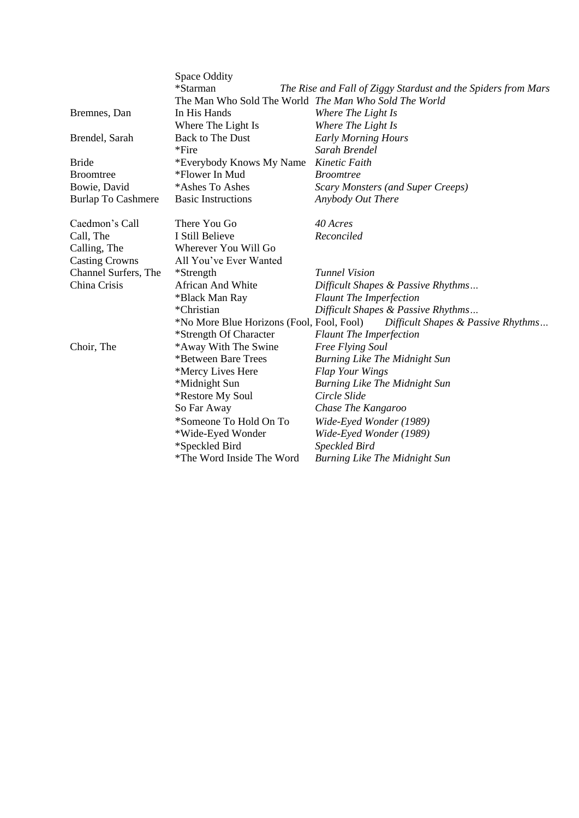|                           | Space Oddity                                          |                                                               |
|---------------------------|-------------------------------------------------------|---------------------------------------------------------------|
|                           | *Starman                                              | The Rise and Fall of Ziggy Stardust and the Spiders from Mars |
|                           | The Man Who Sold The World The Man Who Sold The World |                                                               |
| Bremnes, Dan              | In His Hands                                          | Where The Light Is                                            |
|                           | Where The Light Is                                    | Where The Light Is                                            |
| Brendel, Sarah            | <b>Back to The Dust</b>                               | <b>Early Morning Hours</b>                                    |
|                           | $*$ Fire                                              | Sarah Brendel                                                 |
| <b>Bride</b>              | *Everybody Knows My Name                              | Kinetic Faith                                                 |
| <b>Broomtree</b>          | *Flower In Mud                                        | <i>Broomtree</i>                                              |
| Bowie, David              | *Ashes To Ashes                                       | <b>Scary Monsters (and Super Creeps)</b>                      |
| <b>Burlap To Cashmere</b> | <b>Basic Instructions</b>                             | Anybody Out There                                             |
| Caedmon's Call            | There You Go                                          | 40 Acres                                                      |
| Call, The                 | I Still Believe                                       | Reconciled                                                    |
| Calling, The              | Wherever You Will Go                                  |                                                               |
| <b>Casting Crowns</b>     | All You've Ever Wanted                                |                                                               |
| Channel Surfers, The      | *Strength                                             | <b>Tunnel Vision</b>                                          |
| China Crisis              | African And White                                     | Difficult Shapes & Passive Rhythms                            |
|                           | *Black Man Ray                                        | <b>Flaunt The Imperfection</b>                                |
|                           | *Christian                                            | Difficult Shapes & Passive Rhythms                            |
|                           | *No More Blue Horizons (Fool, Fool, Fool)             | Difficult Shapes & Passive Rhythms                            |
|                           | *Strength Of Character                                | <b>Flaunt The Imperfection</b>                                |
| Choir, The                | *Away With The Swine                                  | Free Flying Soul                                              |
|                           | *Between Bare Trees                                   | <b>Burning Like The Midnight Sun</b>                          |
|                           | *Mercy Lives Here                                     | <b>Flap Your Wings</b>                                        |
|                           | *Midnight Sun                                         | <b>Burning Like The Midnight Sun</b>                          |
|                           | *Restore My Soul                                      | Circle Slide                                                  |
|                           | So Far Away                                           | Chase The Kangaroo                                            |
|                           | *Someone To Hold On To                                | Wide-Eyed Wonder (1989)                                       |
|                           | *Wide-Eyed Wonder                                     | Wide-Eyed Wonder (1989)                                       |
|                           | *Speckled Bird                                        | Speckled Bird                                                 |
|                           | *The Word Inside The Word                             | <b>Burning Like The Midnight Sun</b>                          |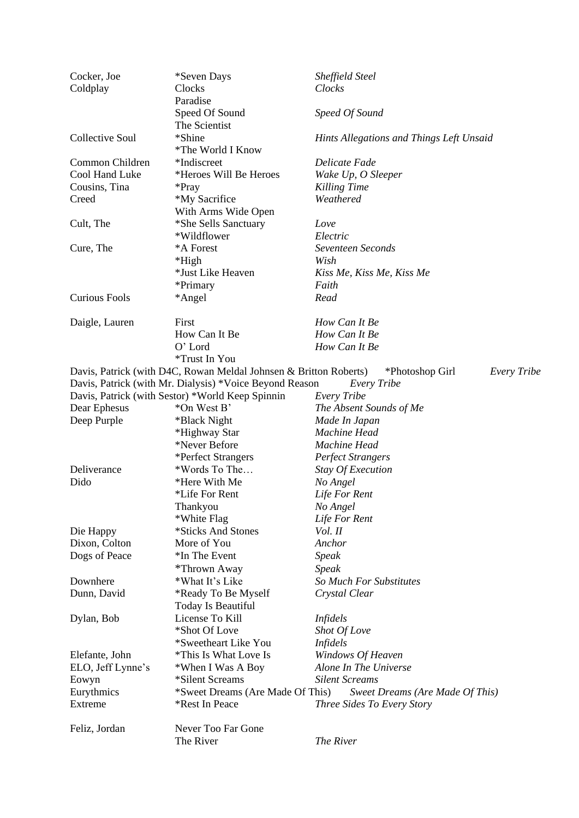| Cocker, Joe          | *Seven Days                                                       | Sheffield Steel                          |
|----------------------|-------------------------------------------------------------------|------------------------------------------|
| Coldplay             | Clocks                                                            | Clocks                                   |
|                      | Paradise                                                          |                                          |
|                      | Speed Of Sound                                                    | Speed Of Sound                           |
|                      | The Scientist                                                     |                                          |
| Collective Soul      | *Shine                                                            | Hints Allegations and Things Left Unsaid |
|                      | *The World I Know                                                 |                                          |
| Common Children      | *Indiscreet                                                       | Delicate Fade                            |
| Cool Hand Luke       | *Heroes Will Be Heroes                                            | Wake Up, O Sleeper                       |
| Cousins, Tina        | *Pray                                                             | Killing Time                             |
| Creed                | *My Sacrifice                                                     | Weathered                                |
|                      | With Arms Wide Open                                               |                                          |
| Cult, The            | *She Sells Sanctuary                                              | Love                                     |
|                      | *Wildflower                                                       | Electric                                 |
| Cure, The            | *A Forest                                                         | Seventeen Seconds                        |
|                      | *High                                                             | Wish                                     |
|                      | *Just Like Heaven                                                 | Kiss Me, Kiss Me, Kiss Me                |
|                      | *Primary                                                          | Faith                                    |
| <b>Curious Fools</b> |                                                                   |                                          |
|                      | *Angel                                                            | Read                                     |
|                      |                                                                   |                                          |
| Daigle, Lauren       | First                                                             | How Can It Be                            |
|                      | How Can It Be                                                     | How Can It Be                            |
|                      | O' Lord                                                           | How Can It Be                            |
|                      | *Trust In You                                                     |                                          |
|                      | Davis, Patrick (with D4C, Rowan Meldal Johnsen & Britton Roberts) | *Photoshop Girl<br>Every Tribe           |
|                      | Davis, Patrick (with Mr. Dialysis) *Voice Beyond Reason           | Every Tribe                              |
|                      | Davis, Patrick (with Sestor) *World Keep Spinnin                  | Every Tribe                              |
| Dear Ephesus         | *On West B'                                                       | The Absent Sounds of Me                  |
| Deep Purple          | *Black Night                                                      | Made In Japan                            |
|                      | *Highway Star                                                     | Machine Head                             |
|                      | *Never Before                                                     | Machine Head                             |
|                      | *Perfect Strangers                                                | <b>Perfect Strangers</b>                 |
| Deliverance          | *Words To The                                                     | <b>Stay Of Execution</b>                 |
| Dido                 | *Here With Me                                                     | No Angel                                 |
|                      | *Life For Rent                                                    | Life For Rent                            |
|                      | Thankyou                                                          | No Angel                                 |
|                      | *White Flag                                                       | Life For Rent                            |
| Die Happy            | *Sticks And Stones                                                | Vol. II                                  |
| Dixon, Colton        | More of You                                                       | Anchor                                   |
| Dogs of Peace        | *In The Event                                                     | <b>Speak</b>                             |
|                      | *Thrown Away                                                      | <b>Speak</b>                             |
| Downhere             | *What It's Like                                                   | So Much For Substitutes                  |
| Dunn, David          | *Ready To Be Myself                                               | Crystal Clear                            |
|                      | Today Is Beautiful                                                |                                          |
| Dylan, Bob           | License To Kill                                                   | <i>Infidels</i>                          |
|                      | *Shot Of Love                                                     | Shot Of Love                             |
|                      | *Sweetheart Like You                                              |                                          |
|                      |                                                                   | <i>Infidels</i>                          |
| Elefante, John       | *This Is What Love Is                                             | Windows Of Heaven                        |
| ELO, Jeff Lynne's    | *When I Was A Boy                                                 | Alone In The Universe                    |
| Eowyn                | *Silent Screams                                                   | <b>Silent Screams</b>                    |
| Eurythmics           | *Sweet Dreams (Are Made Of This)                                  | Sweet Dreams (Are Made Of This)          |
| Extreme              | *Rest In Peace                                                    | Three Sides To Every Story               |
|                      |                                                                   |                                          |
| Feliz, Jordan        | Never Too Far Gone                                                |                                          |
|                      | The River                                                         | The River                                |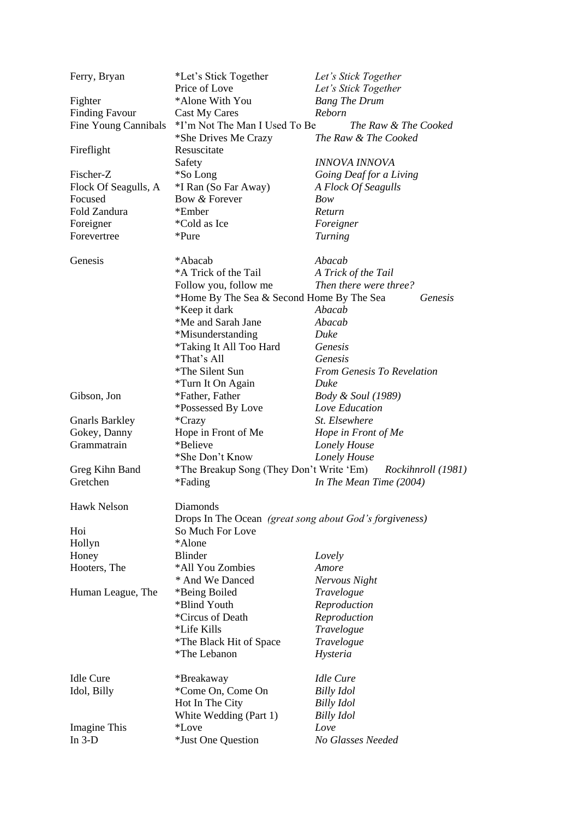| Ferry, Bryan          | *Let's Stick Together                                   | Let's Stick Together          |
|-----------------------|---------------------------------------------------------|-------------------------------|
|                       | Price of Love                                           | Let's Stick Together          |
| Fighter               | *Alone With You                                         | <b>Bang The Drum</b>          |
| <b>Finding Favour</b> | Cast My Cares                                           | Reborn                        |
| Fine Young Cannibals  | *I'm Not The Man I Used To Be                           | The Raw & The Cooked          |
| Fireflight            | *She Drives Me Crazy<br>Resuscitate                     | The Raw & The Cooked          |
|                       | Safety                                                  | INNOVA INNOVA                 |
| Fischer-Z             | *So Long                                                | Going Deaf for a Living       |
| Flock Of Seagulls, A  | *I Ran (So Far Away)                                    | A Flock Of Seagulls           |
| Focused               | Bow & Forever                                           | Bow                           |
| Fold Zandura          | *Ember                                                  | Return                        |
| Foreigner             | *Cold as Ice                                            | Foreigner                     |
| Forevertree           | *Pure                                                   | <b>Turning</b>                |
|                       |                                                         |                               |
| Genesis               | *Abacab                                                 | Abacab                        |
|                       | *A Trick of the Tail                                    | A Trick of the Tail           |
|                       | Follow you, follow me                                   | Then there were three?        |
|                       | *Home By The Sea & Second Home By The Sea               | Genesis                       |
|                       | *Keep it dark                                           | Abacab                        |
|                       | *Me and Sarah Jane                                      | Abacab                        |
|                       | *Misunderstanding                                       | Duke                          |
|                       | <i>*Taking It All Too Hard</i>                          | Genesis                       |
|                       | *That's All                                             | Genesis                       |
|                       | *The Silent Sun                                         | From Genesis To Revelation    |
|                       | *Turn It On Again                                       | Duke                          |
| Gibson, Jon           | *Father, Father                                         | <i>Body &amp; Soul</i> (1989) |
|                       |                                                         | Love Education                |
|                       | *Possessed By Love                                      |                               |
| <b>Gnarls Barkley</b> | *Crazy                                                  | St. Elsewhere                 |
| Gokey, Danny          | Hope in Front of Me                                     | Hope in Front of Me           |
| Grammatrain           | *Believe                                                | Lonely House                  |
|                       | *She Don't Know                                         | Lonely House                  |
| Greg Kihn Band        | *The Breakup Song (They Don't Write 'Em)                | Rockihnroll (1981)            |
| Gretchen              | *Fading                                                 | In The Mean Time (2004)       |
| Hawk Nelson           | Diamonds                                                |                               |
|                       | Drops In The Ocean (great song about God's forgiveness) |                               |
| Hoi                   | So Much For Love                                        |                               |
| Hollyn                | *Alone                                                  |                               |
| Honey                 | <b>Blinder</b>                                          | Lovely                        |
| Hooters, The          | *All You Zombies                                        | Amore                         |
|                       | * And We Danced                                         | Nervous Night                 |
| Human League, The     | *Being Boiled                                           | Travelogue                    |
|                       | *Blind Youth                                            | Reproduction                  |
|                       | *Circus of Death                                        | Reproduction                  |
|                       | *Life Kills                                             | Travelogue                    |
|                       | *The Black Hit of Space                                 | Travelogue                    |
|                       | *The Lebanon                                            | Hysteria                      |
| <b>Idle Cure</b>      |                                                         | <b>Idle Cure</b>              |
|                       | *Breakaway                                              |                               |
| Idol, Billy           | *Come On, Come On                                       | <b>Billy Idol</b>             |
|                       | Hot In The City                                         | Billy Idol                    |
|                       | White Wedding (Part 1)                                  | <b>Billy Idol</b>             |
| Imagine This          | <i>*Love</i>                                            | Love                          |
| In $3-D$              | *Just One Question                                      | No Glasses Needed             |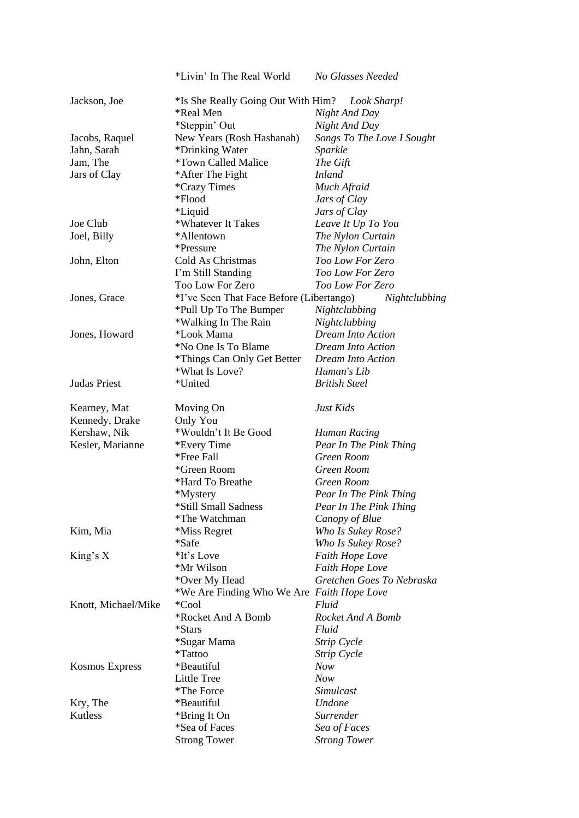|                     | *Livin' In The Real World                  | No Glasses Needed                     |
|---------------------|--------------------------------------------|---------------------------------------|
| Jackson, Joe        | *Is She Really Going Out With Him?         | Look Sharp!                           |
|                     | *Real Men                                  | Night And Day                         |
|                     | *Steppin' Out                              | Night And Day                         |
| Jacobs, Raquel      | New Years (Rosh Hashanah)                  | Songs To The Love I Sought            |
| Jahn, Sarah         | *Drinking Water                            | Sparkle                               |
| Jam, The            | *Town Called Malice                        | The Gift                              |
| Jars of Clay        | *After The Fight                           | <i>Inland</i>                         |
|                     | <i>*Crazy Times</i>                        | Much Afraid                           |
|                     | *Flood                                     | Jars of Clay                          |
|                     | <i>*Liquid</i>                             | Jars of Clay                          |
| Joe Club            | *Whatever It Takes                         | Leave It Up To You                    |
| Joel, Billy         | *Allentown                                 | The Nylon Curtain                     |
|                     | *Pressure                                  |                                       |
|                     | Cold As Christmas                          | The Nylon Curtain<br>Too Low For Zero |
| John, Elton         |                                            | <b>Too Low For Zero</b>               |
|                     | I'm Still Standing                         |                                       |
|                     | Too Low For Zero                           | Too Low For Zero                      |
| Jones, Grace        | *I've Seen That Face Before (Libertango)   | Nightclubbing                         |
|                     | *Pull Up To The Bumper                     | Nightclubbing                         |
|                     | *Walking In The Rain                       | Nightclubbing                         |
| Jones, Howard       | *Look Mama                                 | <b>Dream Into Action</b>              |
|                     | *No One Is To Blame                        | <b>Dream Into Action</b>              |
|                     | *Things Can Only Get Better                | <b>Dream Into Action</b>              |
|                     | *What Is Love?                             | Human's Lib                           |
| Judas Priest        | *United                                    | <b>British Steel</b>                  |
| Kearney, Mat        | Moving On                                  | Just Kids                             |
| Kennedy, Drake      | Only You                                   |                                       |
| Kershaw, Nik        | *Wouldn't It Be Good                       | Human Racing                          |
| Kesler, Marianne    | *Every Time                                | Pear In The Pink Thing                |
|                     | *Free Fall                                 | Green Room                            |
|                     | *Green Room                                | Green Room                            |
|                     | *Hard To Breathe                           | Green Room                            |
|                     | *Mystery                                   | Pear In The Pink Thing                |
|                     | *Still Small Sadness                       | Pear In The Pink Thing                |
|                     | *The Watchman                              | Canopy of Blue                        |
| Kim, Mia            | *Miss Regret                               | Who Is Sukey Rose?                    |
|                     | *Safe                                      | Who Is Sukey Rose?                    |
| King's $X$          | *It's Love                                 | Faith Hope Love                       |
|                     | *Mr Wilson                                 | <b>Faith Hope Love</b>                |
|                     | *Over My Head                              | Gretchen Goes To Nebraska             |
|                     | *We Are Finding Who We Are Faith Hope Love |                                       |
|                     | *Cool                                      | Fluid                                 |
| Knott, Michael/Mike |                                            | Rocket And A Bomb                     |
|                     | *Rocket And A Bomb                         |                                       |
|                     | *Stars                                     | Fluid                                 |
|                     | *Sugar Mama                                | Strip Cycle                           |
|                     | *Tattoo                                    | Strip Cycle                           |
| Kosmos Express      | *Beautiful                                 | Now                                   |
|                     | Little Tree                                | <b>Now</b>                            |
|                     | *The Force                                 | Simulcast                             |
| Kry, The            | *Beautiful                                 | <b>Undone</b>                         |
| Kutless             | *Bring It On                               | Surrender                             |
|                     | *Sea of Faces                              | Sea of Faces                          |
|                     | <b>Strong Tower</b>                        | <b>Strong Tower</b>                   |
|                     |                                            |                                       |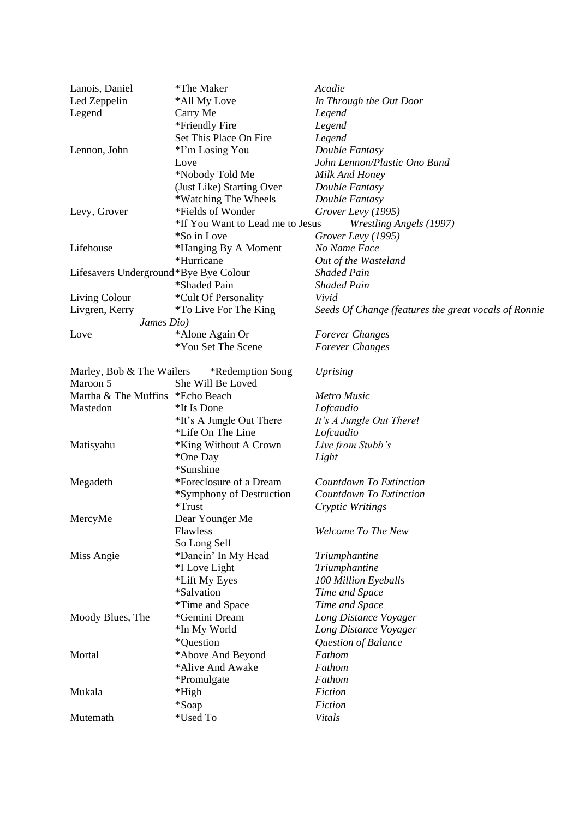| Lanois, Daniel                        | *The Maker                       | Acadie                                               |
|---------------------------------------|----------------------------------|------------------------------------------------------|
| Led Zeppelin                          | *All My Love                     | In Through the Out Door                              |
| Legend                                | Carry Me                         | Legend                                               |
|                                       | *Friendly Fire                   | Legend                                               |
|                                       | Set This Place On Fire           | Legend                                               |
| Lennon, John                          | *I'm Losing You                  | Double Fantasy                                       |
|                                       | Love                             | John Lennon/Plastic Ono Band                         |
|                                       | *Nobody Told Me                  | Milk And Honey                                       |
|                                       | (Just Like) Starting Over        | Double Fantasy                                       |
|                                       | *Watching The Wheels             | Double Fantasy                                       |
|                                       | *Fields of Wonder                |                                                      |
| Levy, Grover                          |                                  | Grover Levy (1995)                                   |
|                                       | *If You Want to Lead me to Jesus | <b>Wrestling Angels (1997)</b>                       |
|                                       | *So in Love                      | Grover Levy (1995)                                   |
| Lifehouse                             | *Hanging By A Moment             | No Name Face                                         |
|                                       | *Hurricane                       | Out of the Wasteland                                 |
| Lifesavers Underground*Bye Bye Colour |                                  | <b>Shaded Pain</b>                                   |
|                                       | *Shaded Pain                     | <b>Shaded Pain</b>                                   |
| Living Colour                         | *Cult Of Personality             | Vivid                                                |
| Livgren, Kerry                        | <i>*To Live For The King</i>     | Seeds Of Change (features the great vocals of Ronnie |
| James Dio)                            |                                  |                                                      |
| Love                                  | *Alone Again Or                  | <b>Forever Changes</b>                               |
|                                       | *You Set The Scene               | <b>Forever Changes</b>                               |
| Marley, Bob & The Wailers             | *Redemption Song                 | <b>Uprising</b>                                      |
| Maroon 5                              | She Will Be Loved                |                                                      |
| Martha & The Muffins *Echo Beach      |                                  | <b>Metro Music</b>                                   |
| Mastedon                              | *It Is Done                      | Lofcaudio                                            |
|                                       | *It's A Jungle Out There         | It's A Jungle Out There!                             |
|                                       | *Life On The Line                | Lofcaudio                                            |
| Matisyahu                             | *King Without A Crown            | Live from Stubb's                                    |
|                                       | *One Day                         | Light                                                |
|                                       | *Sunshine                        |                                                      |
|                                       | *Foreclosure of a Dream          | Countdown To Extinction                              |
| Megadeth                              |                                  |                                                      |
|                                       | *Symphony of Destruction         | Countdown To Extinction                              |
|                                       | $*Trust$                         | Cryptic Writings                                     |
| MercyMe                               | Dear Younger Me                  |                                                      |
|                                       | Flawless                         | Welcome To The New                                   |
|                                       | So Long Self                     |                                                      |
| Miss Angie                            | *Dancin' In My Head              | Triumphantine                                        |
|                                       | <i>*I</i> Love Light             | Triumphantine                                        |
|                                       | *Lift My Eyes                    | 100 Million Eyeballs                                 |
|                                       | *Salvation                       | Time and Space                                       |
|                                       | *Time and Space                  | Time and Space                                       |
| Moody Blues, The                      | *Gemini Dream                    | Long Distance Voyager                                |
|                                       | *In My World                     | Long Distance Voyager                                |
|                                       | *Question                        | Question of Balance                                  |
| Mortal                                | *Above And Beyond                | Fathom                                               |
|                                       | *Alive And Awake                 | Fathom                                               |
|                                       | *Promulgate                      | Fathom                                               |
| Mukala                                | *High                            | Fiction                                              |
|                                       | *Soap                            | Fiction                                              |
| Mutemath                              | *Used To                         | Vitals                                               |
|                                       |                                  |                                                      |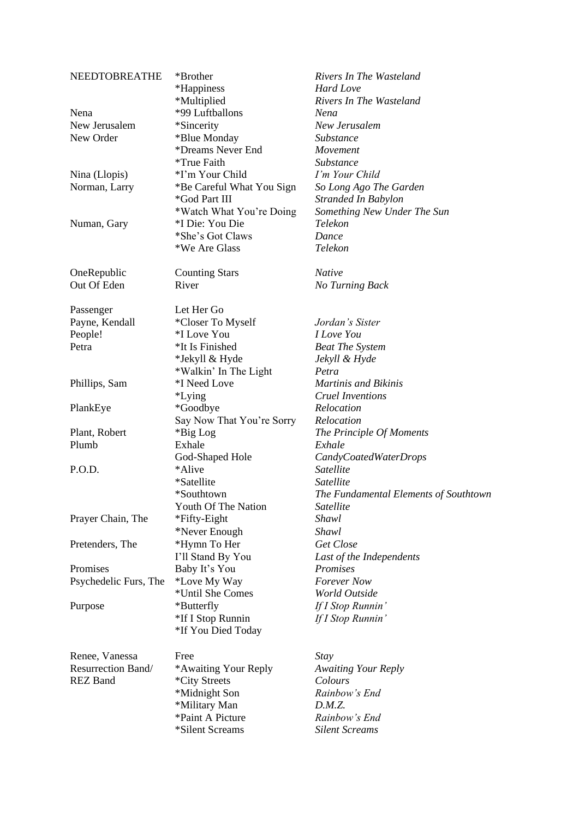| NEEDTOBREATHE<br>Nena<br>New Jerusalem<br>New Order<br>Nina (Llopis)<br>Norman, Larry | *Brother<br>*Happiness<br>*Multiplied<br>*99 Luftballons<br>*Sincerity<br>*Blue Monday<br>*Dreams Never End<br>*True Faith<br>*I'm Your Child<br>*Be Careful What You Sign<br>*God Part III | Rivers In The Wasteland<br>Hard Love<br>Rivers In The Wasteland<br>Nena<br>New Jerusalem<br>Substance<br>Movement<br>Substance<br>I'm Your Child<br>So Long Ago The Garden<br>Stranded In Babylon |
|---------------------------------------------------------------------------------------|---------------------------------------------------------------------------------------------------------------------------------------------------------------------------------------------|---------------------------------------------------------------------------------------------------------------------------------------------------------------------------------------------------|
| Numan, Gary                                                                           | *Watch What You're Doing<br>*I Die: You Die<br>*She's Got Claws<br>*We Are Glass                                                                                                            | Something New Under The Sun<br>Telekon<br>Dance<br>Telekon                                                                                                                                        |
| OneRepublic<br>Out Of Eden                                                            | <b>Counting Stars</b><br>River                                                                                                                                                              | <b>Native</b><br>No Turning Back                                                                                                                                                                  |
| Passenger<br>Payne, Kendall<br>People!<br>Petra                                       | Let Her Go<br>*Closer To Myself<br>*I Love You<br>*It Is Finished<br>*Jekyll & Hyde                                                                                                         | Jordan's Sister<br><b><i>I Love You</i></b><br><b>Beat The System</b><br>Jekyll & Hyde                                                                                                            |
| Phillips, Sam                                                                         | *Walkin' In The Light<br>*I Need Love<br><i>*Lying</i>                                                                                                                                      | Petra<br>Martinis and Bikinis<br><b>Cruel Inventions</b>                                                                                                                                          |
| PlankEye<br>Plant, Robert<br>Plumb                                                    | *Goodbye<br>Say Now That You're Sorry<br>*Big Log<br>Exhale                                                                                                                                 | Relocation<br>Relocation<br>The Principle Of Moments<br>Exhale                                                                                                                                    |
| P.O.D.                                                                                | God-Shaped Hole<br>*Alive<br>*Satellite<br>*Southtown                                                                                                                                       | CandyCoatedWaterDrops<br>Satellite<br>Satellite<br>The Fundamental Elements of Southtown                                                                                                          |
| Prayer Chain, The                                                                     | Youth Of The Nation<br>*Fifty-Eight<br>*Never Enough                                                                                                                                        | Satellite<br>Shawl<br>Shawl                                                                                                                                                                       |
| Pretenders, The                                                                       | *Hymn To Her<br>I'll Stand By You                                                                                                                                                           | Get Close<br>Last of the Independents                                                                                                                                                             |
| Promises<br>Psychedelic Furs, The                                                     | Baby It's You<br>*Love My Way<br>*Until She Comes                                                                                                                                           | Promises<br><b>Forever</b> Now<br>World Outside                                                                                                                                                   |
| Purpose                                                                               | *Butterfly<br>*If I Stop Runnin<br>*If You Died Today                                                                                                                                       | If I Stop Runnin'<br>If I Stop Runnin'                                                                                                                                                            |
| Renee, Vanessa<br>Resurrection Band/<br><b>REZ Band</b>                               | Free<br>*Awaiting Your Reply<br>*City Streets<br>*Midnight Son<br>*Military Man<br>*Paint A Picture<br>*Silent Screams                                                                      | Stay<br><b>Awaiting Your Reply</b><br>Colours<br>Rainbow's End<br>D.M.Z.<br>Rainbow's End<br><b>Silent Screams</b>                                                                                |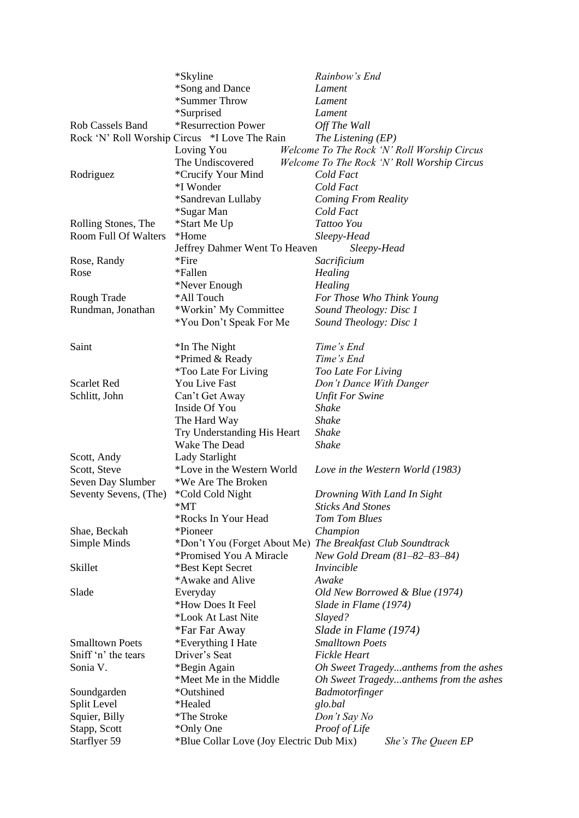|                         | *Skyline                                      | Rainbow's End                                              |
|-------------------------|-----------------------------------------------|------------------------------------------------------------|
|                         | *Song and Dance                               | Lament                                                     |
|                         | *Summer Throw                                 | Lament                                                     |
|                         | *Surprised                                    | Lament                                                     |
| <b>Rob Cassels Band</b> | *Resurrection Power                           | Off The Wall                                               |
|                         | Rock 'N' Roll Worship Circus *I Love The Rain | The Listening (EP)                                         |
|                         | Loving You                                    | Welcome To The Rock 'N' Roll Worship Circus                |
|                         | The Undiscovered                              | Welcome To The Rock 'N' Roll Worship Circus                |
| Rodriguez               | *Crucify Your Mind                            | Cold Fact                                                  |
|                         | *I Wonder                                     | Cold Fact                                                  |
|                         | *Sandrevan Lullaby                            | <b>Coming From Reality</b>                                 |
|                         | *Sugar Man                                    | Cold Fact                                                  |
| Rolling Stones, The     | *Start Me Up                                  | Tattoo You                                                 |
| Room Full Of Walters    | *Home                                         | Sleepy-Head                                                |
|                         | Jeffrey Dahmer Went To Heaven                 | Sleepy-Head                                                |
| Rose, Randy             | *Fire                                         | Sacrificium                                                |
| Rose                    | *Fallen                                       | Healing                                                    |
|                         | *Never Enough                                 | Healing                                                    |
| Rough Trade             | *All Touch                                    | For Those Who Think Young                                  |
| Rundman, Jonathan       | *Workin' My Committee                         | Sound Theology: Disc 1                                     |
|                         | *You Don't Speak For Me                       | Sound Theology: Disc 1                                     |
|                         |                                               |                                                            |
| Saint                   | *In The Night                                 | Time's End                                                 |
|                         | *Primed & Ready                               | Time's End                                                 |
|                         | <i>*Too Late For Living</i>                   | Too Late For Living                                        |
| <b>Scarlet Red</b>      | You Live Fast                                 | Don't Dance With Danger                                    |
| Schlitt, John           | Can't Get Away                                | <b>Unfit For Swine</b>                                     |
|                         | Inside Of You                                 | <b>Shake</b>                                               |
|                         | The Hard Way                                  | Shake                                                      |
|                         | Try Understanding His Heart                   | Shake                                                      |
|                         | Wake The Dead                                 | <b>Shake</b>                                               |
| Scott, Andy             | Lady Starlight                                |                                                            |
| Scott, Steve            | *Love in the Western World                    | Love in the Western World (1983)                           |
| Seven Day Slumber       | *We Are The Broken                            |                                                            |
| Seventy Sevens, (The)   | *Cold Cold Night                              | Drowning With Land In Sight                                |
|                         | $*MT$                                         | <b>Sticks And Stones</b>                                   |
|                         | *Rocks In Your Head                           | <b>Tom Tom Blues</b>                                       |
| Shae, Beckah            | *Pioneer                                      | Champion                                                   |
| Simple Minds            |                                               | *Don't You (Forget About Me) The Breakfast Club Soundtrack |
|                         | *Promised You A Miracle                       | New Gold Dream (81–82–83–84)                               |
| Skillet                 | *Best Kept Secret                             | Invincible                                                 |
|                         | *Awake and Alive                              | Awake                                                      |
| Slade                   | Everyday                                      | Old New Borrowed & Blue (1974)                             |
|                         | *How Does It Feel                             | Slade in Flame (1974)                                      |
|                         | *Look At Last Nite                            | Slayed?                                                    |
|                         | *Far Far Away                                 | Slade in Flame (1974)                                      |
| <b>Smalltown Poets</b>  | *Everything I Hate                            | <b>Smalltown Poets</b>                                     |
| Sniff 'n' the tears     | Driver's Seat                                 | <b>Fickle Heart</b>                                        |
| Sonia V.                | *Begin Again                                  | Oh Sweet Tragedyanthems from the ashes                     |
|                         | *Meet Me in the Middle                        | Oh Sweet Tragedyanthems from the ashes                     |
| Soundgarden             | *Outshined                                    | Badmotorfinger                                             |
| Split Level             | *Healed                                       | glo.bal                                                    |
| Squier, Billy           | *The Stroke                                   | Don't Say No                                               |
| Stapp, Scott            | *Only One                                     | Proof of Life                                              |
| Starflyer 59            | *Blue Collar Love (Joy Electric Dub Mix)      | She's The Queen EP                                         |
|                         |                                               |                                                            |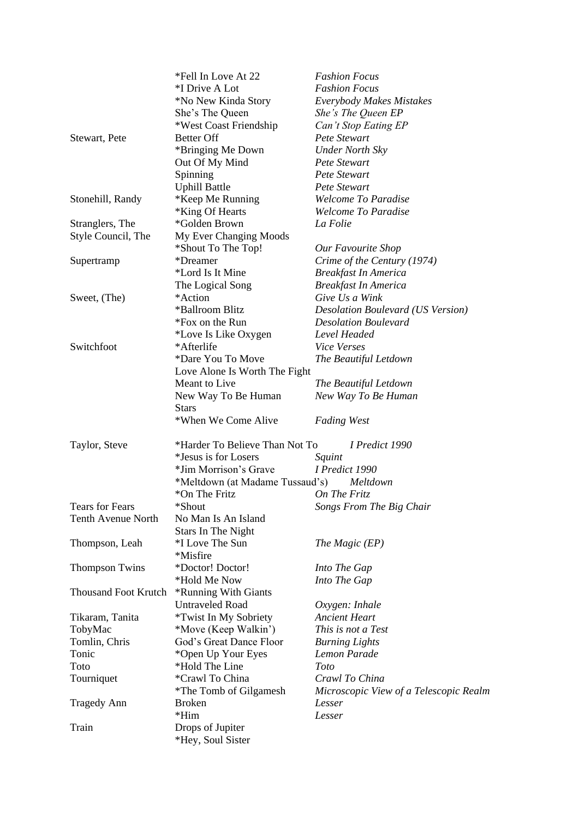|                             | *Fell In Love At 22             | <b>Fashion Focus</b>                     |
|-----------------------------|---------------------------------|------------------------------------------|
|                             | *I Drive A Lot                  | <b>Fashion Focus</b>                     |
|                             | *No New Kinda Story             | <b>Everybody Makes Mistakes</b>          |
|                             | She's The Queen                 | She's The Queen EP                       |
|                             | *West Coast Friendship          | Can't Stop Eating EP                     |
| Stewart, Pete               | <b>Better Off</b>               | Pete Stewart                             |
|                             | *Bringing Me Down               | <b>Under North Sky</b>                   |
|                             | Out Of My Mind                  | Pete Stewart                             |
|                             | Spinning                        | Pete Stewart                             |
|                             | <b>Uphill Battle</b>            | Pete Stewart                             |
| Stonehill, Randy            | *Keep Me Running                | <b>Welcome To Paradise</b>               |
|                             | *King Of Hearts                 | <b>Welcome To Paradise</b>               |
| Stranglers, The             | *Golden Brown                   | La Folie                                 |
| Style Council, The          | My Ever Changing Moods          |                                          |
|                             | *Shout To The Top!              | Our Favourite Shop                       |
| Supertramp                  | *Dreamer                        | Crime of the Century (1974)              |
|                             | *Lord Is It Mine                | <b>Breakfast In America</b>              |
|                             | The Logical Song                | <b>Breakfast In America</b>              |
| Sweet, (The)                | *Action                         | Give Us a Wink                           |
|                             | *Ballroom Blitz                 | <b>Desolation Boulevard (US Version)</b> |
|                             | *Fox on the Run                 | <b>Desolation Boulevard</b>              |
|                             | *Love Is Like Oxygen            | Level Headed                             |
| Switchfoot                  | *Afterlife                      | <b>Vice Verses</b>                       |
|                             | *Dare You To Move               | The Beautiful Letdown                    |
|                             | Love Alone Is Worth The Fight   |                                          |
|                             | Meant to Live                   | The Beautiful Letdown                    |
|                             | New Way To Be Human             | New Way To Be Human                      |
|                             | <b>Stars</b>                    |                                          |
|                             | *When We Come Alive             | <b>Fading West</b>                       |
| Taylor, Steve               | *Harder To Believe Than Not To  | I Predict 1990                           |
|                             | *Jesus is for Losers            | Squint                                   |
|                             | *Jim Morrison's Grave           | I Predict 1990                           |
|                             | *Meltdown (at Madame Tussaud's) | Meltdown                                 |
|                             | *On The Fritz                   | On The Fritz                             |
| <b>Tears for Fears</b>      | *Shout                          | Songs From The Big Chair                 |
| <b>Tenth Avenue North</b>   | No Man Is An Island             |                                          |
|                             | Stars In The Night              |                                          |
| Thompson, Leah              | *I Love The Sun                 | The Magic (EP)                           |
|                             | *Misfire                        |                                          |
| <b>Thompson Twins</b>       | *Doctor! Doctor!                | Into The Gap                             |
|                             | *Hold Me Now                    | Into The Gap                             |
| <b>Thousand Foot Krutch</b> | *Running With Giants            |                                          |
|                             | <b>Untraveled Road</b>          | Oxygen: Inhale                           |
| Tikaram, Tanita             | <i>*Twist In My Sobriety</i>    | <b>Ancient Heart</b>                     |
| TobyMac                     | *Move (Keep Walkin')            | This is not a Test                       |
| Tomlin, Chris               | God's Great Dance Floor         | <b>Burning Lights</b>                    |
| Tonic                       | *Open Up Your Eyes              | Lemon Parade                             |
| Toto                        | *Hold The Line                  | Toto                                     |
| Tourniquet                  | *Crawl To China                 | Crawl To China                           |
|                             | *The Tomb of Gilgamesh          | Microscopic View of a Telescopic Realm   |
| <b>Tragedy Ann</b>          | <b>Broken</b>                   | Lesser                                   |
|                             | $*$ Him                         | Lesser                                   |
| Train                       | Drops of Jupiter                |                                          |
|                             | *Hey, Soul Sister               |                                          |
|                             |                                 |                                          |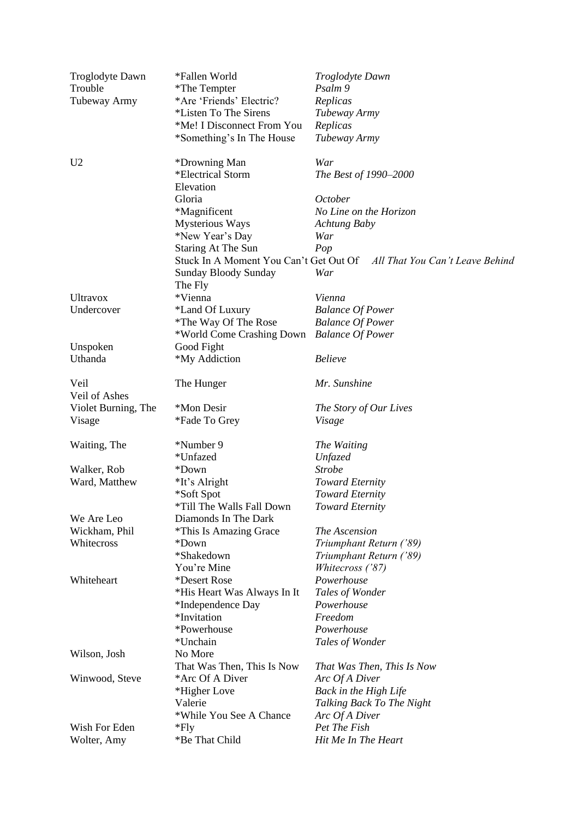| Troglodyte Dawn<br>Trouble | *Fallen World<br>*The Tempter              | Troglodyte Dawn<br>Psalm 9                                             |
|----------------------------|--------------------------------------------|------------------------------------------------------------------------|
| Tubeway Army               | *Are 'Friends' Electric?                   | Replicas                                                               |
|                            | *Listen To The Sirens                      | Tubeway Army                                                           |
|                            | *Me! I Disconnect From You                 | Replicas                                                               |
|                            | *Something's In The House                  | Tubeway Army                                                           |
|                            |                                            |                                                                        |
| U <sub>2</sub>             | *Drowning Man                              | War                                                                    |
|                            | *Electrical Storm<br>Elevation             | The Best of 1990-2000                                                  |
|                            | Gloria                                     | <b>October</b>                                                         |
|                            | *Magnificent                               | No Line on the Horizon                                                 |
|                            | Mysterious Ways                            | <b>Achtung Baby</b>                                                    |
|                            | *New Year's Day                            | War                                                                    |
|                            | <b>Staring At The Sun</b>                  | Pop                                                                    |
|                            |                                            | Stuck In A Moment You Can't Get Out Of All That You Can't Leave Behind |
|                            | <b>Sunday Bloody Sunday</b>                | War                                                                    |
|                            | The Fly                                    |                                                                        |
| <b>Ultravox</b>            | *Vienna                                    | Vienna                                                                 |
| Undercover                 | *Land Of Luxury                            | <b>Balance Of Power</b>                                                |
|                            | *The Way Of The Rose                       | <b>Balance Of Power</b>                                                |
|                            | *World Come Crashing Down Balance Of Power |                                                                        |
| Unspoken                   | Good Fight                                 |                                                                        |
| Uthanda                    | *My Addiction                              | <b>Believe</b>                                                         |
| Veil<br>Veil of Ashes      | The Hunger                                 | Mr. Sunshine                                                           |
| Violet Burning, The        | *Mon Desir                                 | The Story of Our Lives                                                 |
| Visage                     | *Fade To Grey                              | Visage                                                                 |
| Waiting, The               | *Number 9                                  | The Waiting                                                            |
|                            | *Unfazed                                   | <b>Unfazed</b>                                                         |
| Walker, Rob                | *Down                                      | <b>Strobe</b>                                                          |
| Ward, Matthew              | *It's Alright                              | <b>Toward Eternity</b>                                                 |
|                            | *Soft Spot                                 | <b>Toward Eternity</b>                                                 |
|                            | *Till The Walls Fall Down                  | <b>Toward Eternity</b>                                                 |
| We Are Leo                 | Diamonds In The Dark                       |                                                                        |
| Wickham, Phil              | *This Is Amazing Grace                     | The Ascension                                                          |
| Whitecross                 | *Down                                      | Triumphant Return ('89)                                                |
|                            | *Shakedown                                 | Triumphant Return ('89)                                                |
|                            | You're Mine                                | Whitecross ('87)                                                       |
| Whiteheart                 | *Desert Rose                               | Powerhouse                                                             |
|                            | *His Heart Was Always In It                | Tales of Wonder                                                        |
|                            | *Independence Day                          | Powerhouse                                                             |
|                            | *Invitation                                | Freedom                                                                |
|                            | *Powerhouse                                | Powerhouse                                                             |
|                            | *Unchain                                   | Tales of Wonder                                                        |
| Wilson, Josh               | No More                                    |                                                                        |
|                            | That Was Then, This Is Now                 | That Was Then, This Is Now                                             |
| Winwood, Steve             | *Arc Of A Diver                            | Arc Of A Diver                                                         |
|                            | *Higher Love                               | Back in the High Life                                                  |
|                            | Valerie                                    | Talking Back To The Night                                              |
|                            | *While You See A Chance                    | Arc Of A Diver                                                         |
| Wish For Eden              | $*$ Fly                                    | Pet The Fish                                                           |
| Wolter, Amy                | *Be That Child                             | Hit Me In The Heart                                                    |
|                            |                                            |                                                                        |